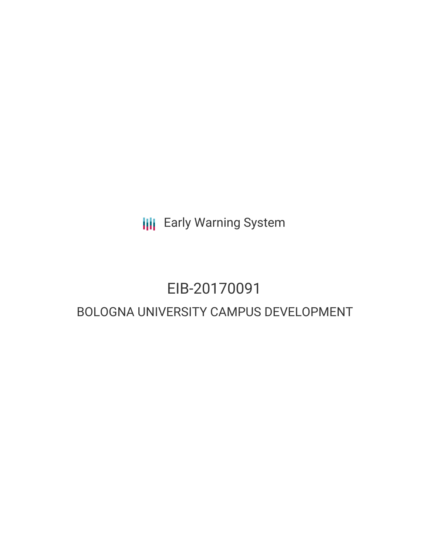**III** Early Warning System

# EIB-20170091

# BOLOGNA UNIVERSITY CAMPUS DEVELOPMENT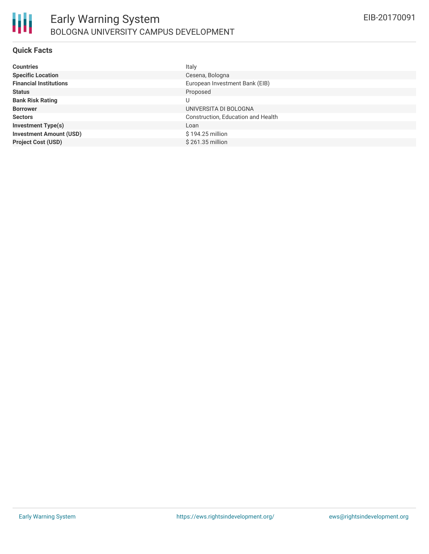

#### **Quick Facts**

| <b>Countries</b>               | Italy                              |
|--------------------------------|------------------------------------|
| <b>Specific Location</b>       | Cesena, Bologna                    |
| <b>Financial Institutions</b>  | European Investment Bank (EIB)     |
| <b>Status</b>                  | Proposed                           |
| <b>Bank Risk Rating</b>        | U                                  |
| <b>Borrower</b>                | UNIVERSITA DI BOLOGNA              |
| <b>Sectors</b>                 | Construction, Education and Health |
| <b>Investment Type(s)</b>      | Loan                               |
| <b>Investment Amount (USD)</b> | \$194.25 million                   |
| <b>Project Cost (USD)</b>      | \$261.35 million                   |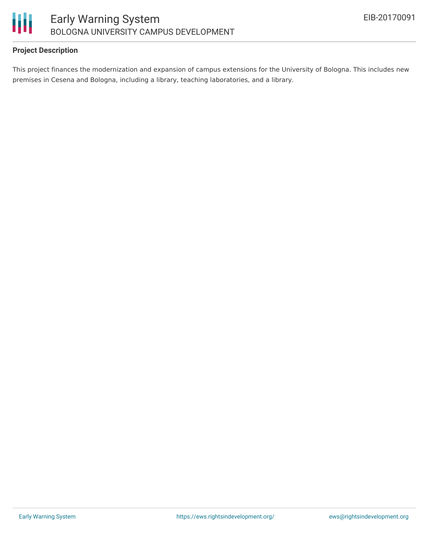

## **Project Description**

This project finances the modernization and expansion of campus extensions for the University of Bologna. This includes new premises in Cesena and Bologna, including a library, teaching laboratories, and a library.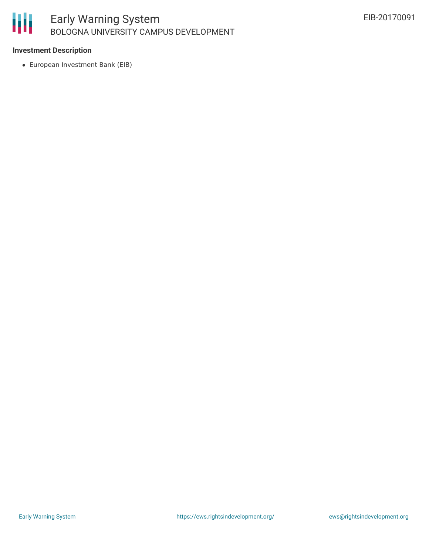### 朋 Early Warning System BOLOGNA UNIVERSITY CAMPUS DEVELOPMENT

#### **Investment Description**

European Investment Bank (EIB)